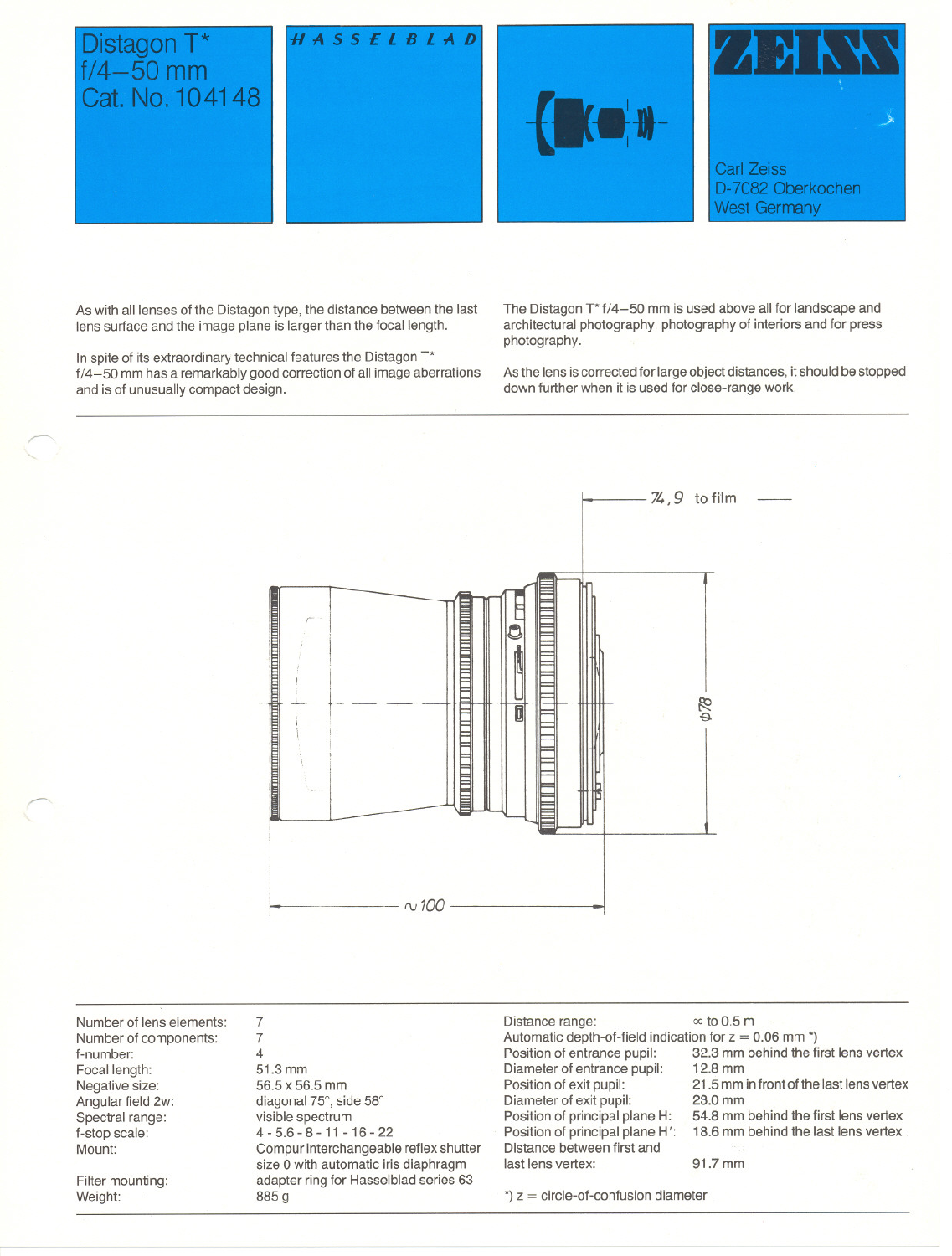

As with all lenses of the Distagon type, the distance between the last lens surface and the image plane is larger than the focal length.

In spite of its extraordinary technical features the Distagon T\* f/4-50 mm has a remarkably good eorreetion of all image aberrations and is of unusually eompaet design.

The Distagon T\* f/4-50 mm is used above all for landscape and architectural photography, photography of interiors and for press photography.

As the lens is corrected for large object distances, it should be stopped down further when it is used for close-range work.



Number of lens elements: Number of eomponents: f-number: Focal length: Negative size: Angular field 2w: Spectral range: f-stop seale: Mount:

Filter mounting: Weight:

~

~

7 7 4 51.3 mm 56.5 x 56.5 mm diagonal 75°, side 58° visible spectrum 4 - 5.6 - 8 - 11 - 16 - 22 Compur interehangeable reflex shutter size 0 with automatie iris diaphragm adapter ring for Hasselblad series 63 885g

Distance range:  $\infty$  to 0.5 m Automatic depth-of-field indication for  $z = 0.06$  mm  $<sup>*</sup>$ )<br>Position of entrance pupil: 32.3 mm behind the fi</sup> Diameter of entrance pupil:<br>Position of exit pupil: Diameter of exit pupil:<br>Position of principal plane H: Position of principal plane H': Distanee between first and last lens vertex: 91.7 mm

32.3 mm behind the first lens vertex<br>12.8 mm

21.5 mm in front of the last lens vertex<br>23.0 mm

54.8 mm behind the first lens vertex<br>18.6 mm behind the last lens vertex

 $*$ )  $z =$  circle-of-confusion diameter